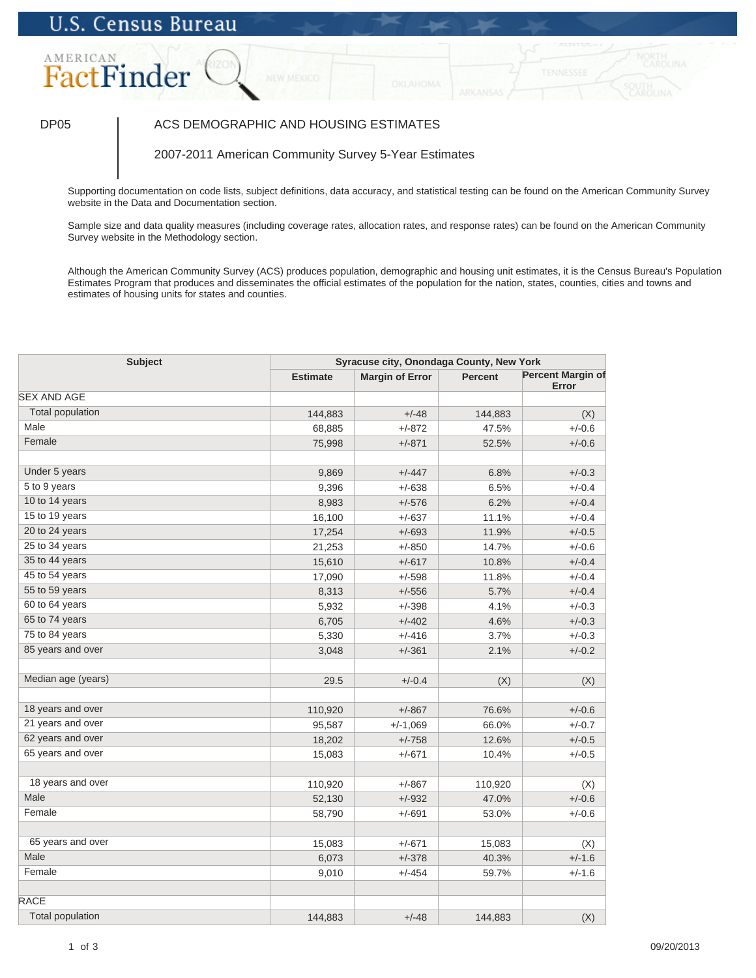# **U.S. Census Bureau**

# AMERICAN FactFinder

### DP05 | ACS DEMOGRAPHIC AND HOUSING ESTIMATES

2007-2011 American Community Survey 5-Year Estimates

Supporting documentation on code lists, subject definitions, data accuracy, and statistical testing can be found on the American Community Survey website in the Data and Documentation section.

Sample size and data quality measures (including coverage rates, allocation rates, and response rates) can be found on the American Community Survey website in the Methodology section.

Although the American Community Survey (ACS) produces population, demographic and housing unit estimates, it is the Census Bureau's Population Estimates Program that produces and disseminates the official estimates of the population for the nation, states, counties, cities and towns and estimates of housing units for states and counties.

| <b>Subject</b>          |                 | Syracuse city, Onondaga County, New York |                |                                   |  |
|-------------------------|-----------------|------------------------------------------|----------------|-----------------------------------|--|
|                         | <b>Estimate</b> | <b>Margin of Error</b>                   | <b>Percent</b> | <b>Percent Margin of</b><br>Error |  |
| <b>SEX AND AGE</b>      |                 |                                          |                |                                   |  |
| <b>Total population</b> | 144,883         | $+/-48$                                  | 144,883        | (X)                               |  |
| Male                    | 68,885          | $+/-872$                                 | 47.5%          | $+/-0.6$                          |  |
| Female                  | 75,998          | $+/-871$                                 | 52.5%          | $+/-0.6$                          |  |
| Under 5 years           | 9,869           | $+/-447$                                 | 6.8%           | $+/-0.3$                          |  |
| 5 to 9 years            | 9,396           | $+/-638$                                 | 6.5%           | $+/-0.4$                          |  |
| 10 to 14 years          | 8,983           | $+/-576$                                 | 6.2%           | $+/-0.4$                          |  |
| 15 to 19 years          | 16,100          | $+/-637$                                 | 11.1%          | $+/-0.4$                          |  |
| 20 to 24 years          | 17,254          | $+/-693$                                 | 11.9%          | $+/-0.5$                          |  |
| 25 to 34 years          | 21,253          | $+/-850$                                 | 14.7%          | $+/-0.6$                          |  |
| 35 to 44 years          | 15,610          | $+/-617$                                 | 10.8%          | $+/-0.4$                          |  |
| 45 to 54 years          | 17,090          | $+/-598$                                 | 11.8%          | $+/-0.4$                          |  |
| 55 to 59 years          | 8,313           | $+/-556$                                 | 5.7%           | $+/-0.4$                          |  |
| 60 to 64 years          | 5,932           | $+/-398$                                 | 4.1%           | $+/-0.3$                          |  |
| 65 to 74 years          | 6,705           | $+/-402$                                 | 4.6%           | $+/-0.3$                          |  |
| 75 to 84 years          | 5,330           | $+/-416$                                 | 3.7%           | $+/-0.3$                          |  |
| 85 years and over       | 3,048           | $+/-361$                                 | 2.1%           | $+/-0.2$                          |  |
| Median age (years)      | 29.5            | $+/-0.4$                                 | (X)            | (X)                               |  |
| 18 years and over       | 110,920         | $+/-867$                                 | 76.6%          | $+/-0.6$                          |  |
| 21 years and over       | 95,587          | $+/-1,069$                               | 66.0%          | $+/-0.7$                          |  |
| 62 years and over       | 18,202          | $+/-758$                                 | 12.6%          | $+/-0.5$                          |  |
| 65 years and over       | 15,083          | $+/-671$                                 | 10.4%          | $+/-0.5$                          |  |
| 18 years and over       | 110,920         | $+/-867$                                 | 110,920        | (X)                               |  |
| Male                    | 52,130          | $+/-932$                                 | 47.0%          | $+/-0.6$                          |  |
| Female                  | 58,790          | $+/-691$                                 | 53.0%          | $+/-0.6$                          |  |
| 65 years and over       | 15,083          | $+/-671$                                 | 15,083         | (X)                               |  |
| Male                    | 6,073           | $+/-378$                                 | 40.3%          | $+/-1.6$                          |  |
| Female                  | 9,010           | $+/-454$                                 | 59.7%          | $+/-1.6$                          |  |
| <b>RACE</b>             |                 |                                          |                |                                   |  |
| <b>Total population</b> | 144,883         | $+/-48$                                  | 144,883        | (X)                               |  |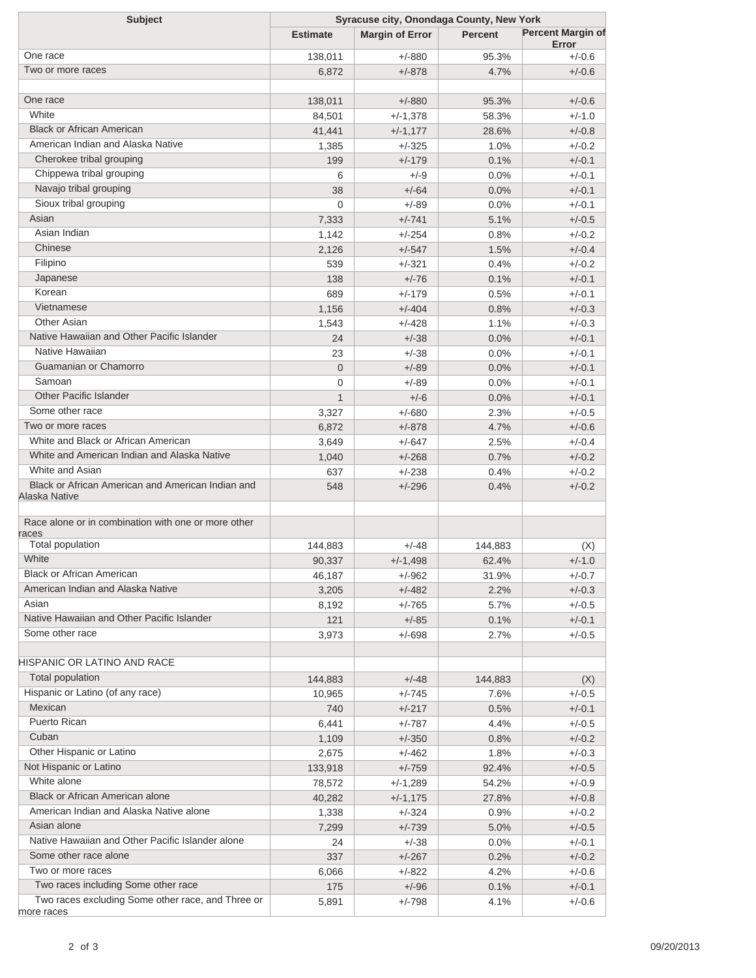| <b>Subject</b>                                                     | Syracuse city, Onondaga County, New York |                        |                |                                   |  |
|--------------------------------------------------------------------|------------------------------------------|------------------------|----------------|-----------------------------------|--|
|                                                                    | <b>Estimate</b>                          | <b>Margin of Error</b> | <b>Percent</b> | <b>Percent Margin of</b><br>Error |  |
| One race                                                           | 138,011                                  | $+/-880$               | 95.3%          | $+/-0.6$                          |  |
| Two or more races                                                  | 6,872                                    | $+/-878$               | 4.7%           | $+/-0.6$                          |  |
|                                                                    |                                          |                        |                |                                   |  |
| One race                                                           | 138,011                                  | $+/-880$               | 95.3%          | $+/-0.6$                          |  |
| White                                                              | 84,501                                   | $+/-1,378$             | 58.3%          | $+/-1.0$                          |  |
| <b>Black or African American</b>                                   | 41,441                                   | $+/-1,177$             | 28.6%          | $+/-0.8$                          |  |
| American Indian and Alaska Native                                  | 1,385                                    | $+/-325$               | 1.0%           | $+/-0.2$                          |  |
| Cherokee tribal grouping                                           | 199                                      | $+/-179$               | 0.1%           | $+/-0.1$                          |  |
| Chippewa tribal grouping                                           | 6                                        | $+/-9$                 | 0.0%           | $+/-0.1$                          |  |
| Navajo tribal grouping                                             | 38                                       | $+/-64$                | 0.0%           | $+/-0.1$                          |  |
| Sioux tribal grouping                                              | $\Omega$                                 | $+/-89$                | 0.0%           | $+/-0.1$                          |  |
| Asian                                                              | 7,333                                    | $+/-741$               | 5.1%           | $+/-0.5$                          |  |
| Asian Indian                                                       | 1,142                                    | $+/-254$               | 0.8%           | $+/-0.2$                          |  |
| Chinese                                                            | 2,126                                    | $+/-547$               | 1.5%           | $+/-0.4$                          |  |
| Filipino                                                           | 539                                      | $+/-321$               | 0.4%           | $+/-0.2$                          |  |
| Japanese                                                           | 138                                      | $+/-76$                | 0.1%           | $+/-0.1$                          |  |
| Korean                                                             | 689                                      | $+/-179$               | 0.5%           | $+/-0.1$                          |  |
| Vietnamese                                                         | 1,156                                    | $+/-404$               | 0.8%           | $+/-0.3$                          |  |
| Other Asian                                                        | 1,543                                    | $+/-428$               | 1.1%           | $+/-0.3$                          |  |
| Native Hawaiian and Other Pacific Islander                         | 24                                       | $+/-38$                | 0.0%           | $+/-0.1$                          |  |
| Native Hawaiian                                                    |                                          | $+/-38$                |                | $+/-0.1$                          |  |
| Guamanian or Chamorro                                              | 23                                       |                        | 0.0%           |                                   |  |
| Samoan                                                             | $\overline{0}$                           | $+/-89$                | 0.0%           | $+/-0.1$                          |  |
| <b>Other Pacific Islander</b>                                      | $\mathbf 0$                              | $+/-89$                | 0.0%           | $+/-0.1$                          |  |
| Some other race                                                    | $\mathbf{1}$                             | $+/-6$                 | 0.0%           | $+/-0.1$                          |  |
|                                                                    | 3,327                                    | $+/-680$               | 2.3%           | $+/-0.5$                          |  |
| Two or more races                                                  | 6,872                                    | $+/-878$               | 4.7%           | $+/-0.6$                          |  |
| White and Black or African American                                | 3,649                                    | $+/-647$               | 2.5%           | $+/-0.4$                          |  |
| White and American Indian and Alaska Native                        | 1,040                                    | $+/-268$               | 0.7%           | $+/-0.2$                          |  |
| White and Asian                                                    | 637                                      | $+/-238$               | 0.4%           | $+/-0.2$                          |  |
| Black or African American and American Indian and<br>Alaska Native | 548                                      | $+/-296$               | 0.4%           | $+/-0.2$                          |  |
| Race alone or in combination with one or more other<br>races       |                                          |                        |                |                                   |  |
| <b>Total population</b>                                            | 144,883                                  | $+/-48$                | 144,883        | (X)                               |  |
| White                                                              | 90,337                                   | $+/-1,498$             | 62.4%          | $+/-1.0$                          |  |
| <b>Black or African American</b>                                   | 46,187                                   | $+/-962$               | 31.9%          | $+/-0.7$                          |  |
| American Indian and Alaska Native                                  | 3,205                                    | $+/-482$               | 2.2%           | $+/-0.3$                          |  |
| Asian                                                              | 8,192                                    | $+/-765$               | 5.7%           | $+/-0.5$                          |  |
| Native Hawaiian and Other Pacific Islander                         | 121                                      | $+/-85$                | 0.1%           | $+/-0.1$                          |  |
| Some other race                                                    | 3,973                                    | $+/-698$               | 2.7%           | $+/-0.5$                          |  |
|                                                                    |                                          |                        |                |                                   |  |
| HISPANIC OR LATINO AND RACE                                        |                                          |                        |                |                                   |  |
| <b>Total population</b>                                            | 144,883                                  | $+/-48$                | 144,883        | (X)                               |  |
| Hispanic or Latino (of any race)                                   | 10,965                                   | $+/-745$               | 7.6%           | $+/-0.5$                          |  |
| Mexican                                                            | 740                                      | $+/-217$               | 0.5%           | $+/-0.1$                          |  |
| Puerto Rican                                                       | 6,441                                    | $+/-787$               | 4.4%           | $+/-0.5$                          |  |
| Cuban                                                              | 1,109                                    | $+/-350$               | 0.8%           | $+/-0.2$                          |  |
| Other Hispanic or Latino                                           | 2,675                                    | $+/-462$               | 1.8%           | $+/-0.3$                          |  |
| Not Hispanic or Latino                                             | 133,918                                  | $+/-759$               | 92.4%          | $+/-0.5$                          |  |
| White alone                                                        | 78,572                                   | $+/-1,289$             | 54.2%          | $+/-0.9$                          |  |
| Black or African American alone                                    | 40,282                                   | $+/-1,175$             | 27.8%          | $+/-0.8$                          |  |
| American Indian and Alaska Native alone                            | 1,338                                    | $+/-324$               | 0.9%           | $+/-0.2$                          |  |
| Asian alone                                                        | 7,299                                    | $+/-739$               | 5.0%           | $+/-0.5$                          |  |
| Native Hawaiian and Other Pacific Islander alone                   | 24                                       | $+/-38$                | 0.0%           | $+/-0.1$                          |  |
| Some other race alone                                              | 337                                      | $+/-267$               | 0.2%           | $+/-0.2$                          |  |
| Two or more races                                                  | 6,066                                    | $+/-822$               | 4.2%           | $+/-0.6$                          |  |
| Two races including Some other race                                | 175                                      | $+/-96$                | 0.1%           | $+/-0.1$                          |  |
| Two races excluding Some other race, and Three or                  | 5,891                                    | $+/-798$               | 4.1%           | $+/-0.6$                          |  |
| more races                                                         |                                          |                        |                |                                   |  |